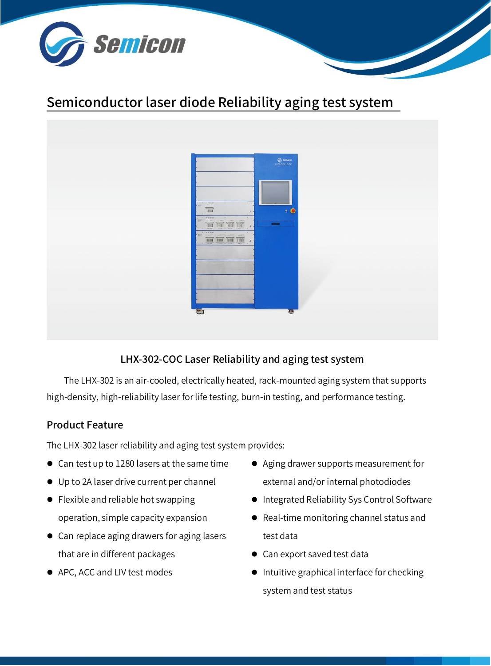

# Semiconductor laser diode Reliability aging test system



# LHX-302-COC Laser Reliability and aging test system

The LHX-302 is an air-cooled, electrically heated, rack-mounted aging system that supports high-density, high-reliability laser for life testing, burn-in testing, and performance testing.

# Product Feature

The LHX-302 laser reliability and aging test system provides:

- Can test up to 1280 lasers at the same time
- Up to 2A laser drive current per channel
- Flexible and reliable hot swapping operation, simple capacity expansion
- Can replace aging drawers for aging lasers that are in different packages
- APC, ACC and LIV test modes
- Aging drawer supports measurement for external and/or internal photodiodes
- Integrated Reliability Sys Control Software
- Real-time monitoring channel status and test data
- Can export saved test data
- Intuitive graphical interface for checking system and test status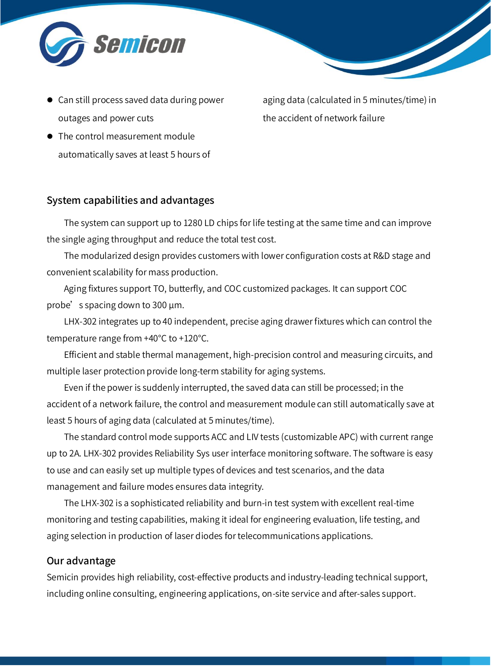

- Can still process saved data during power outages and power cuts
- The control measurement module automatically saves at least 5 hours of

aging data (calculated in 5 minutes/time) in the accident of network failure

#### System capabilities and advantages

The system can support up to 1280 LD chips for life testing at the same time and can improve the single aging throughput and reduce the total test cost.

The modularized design provides customers with lower configuration costs at R&D stage and convenient scalability for mass production.

Aging fixtures support TO, butterfly, and COC customized packages. It can support COC probe's spacing down to 300  $\mu$ m.

LHX-302 integrates up to 40 independent, precise aging drawer fixtures which can control the temperature range from +40°C to +120°C.

Efficient and stable thermal management, high-precision control and measuring circuits, and multiple laser protection provide long-term stability for aging systems.

Even if the power is suddenly interrupted, the saved data can still be processed; in the accident of a network failure, the control and measurement module can still automatically save at least 5 hours of aging data (calculated at 5 minutes/time).

The standard control mode supports ACC and LIV tests (customizable APC) with current range up to 2A. LHX-302 provides Reliability Sys user interface monitoring software. The software is easy to use and can easily set up multiple types of devices and test scenarios, and the data management and failure modes ensures data integrity.

The LHX-302 is a sophisticated reliability and burn-in test system with excellent real-time monitoring and testing capabilities, making it ideal for engineering evaluation, life testing, and aging selection in production of laser diodes for telecommunications applications.

#### Our advantage

Semicin provides high reliability, cost-effective products and industry-leading technical support, including online consulting, engineering applications, on-site service and after-sales support.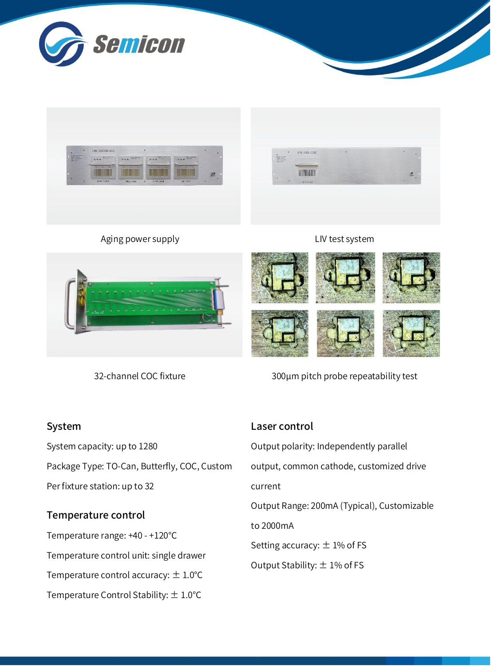



Aging power supply



#### LIV test system



32-channel COC fixture

300μm pitch probe repeatability test

## System

System capacity: up to 1280 Package Type: TO-Can, Butterfly, COC, Custom Per fixture station: up to 32

# Temperature control

Temperature range: +40 - +120℃ Temperature control unit: single drawer Temperature control accuracy:  $\pm$  1.0°C Temperature Control Stability: ± 1.0℃

# Laser control

Output polarity: Independently parallel output, common cathode, customized drive current Output Range: 200mA (Typical), Customizable to 2000mA Setting accuracy:  $\pm$  1% of FS Output Stability:  $\pm$  1% of FS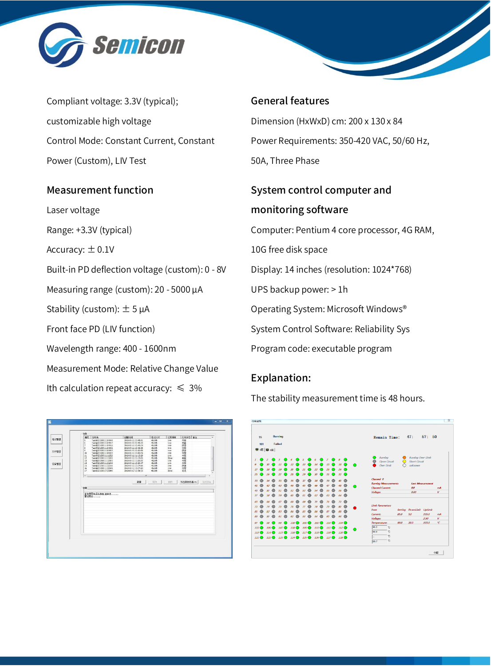

Compliant voltage: 3.3V (typical); customizable high voltage Control Mode: Constant Current, Constant Power (Custom), LIV Test

## Measurement function

Laser voltage Range: +3.3V (typical) Accuracy:  $\pm$  0.1V Built-in PD deflection voltage (custom): 0 - 8V Measuring range (custom): 20 - 5000 μA Stability (custom):  $\pm$  5  $\mu$ A Front face PD (LIV function) Wavelength range: 400 - 1600nm Measurement Mode: Relative Change Value Ith calculation repeat accuracy:  $\leq 3\%$ 

| 任务                                                      |                                            |                  |                 | 任务状态 备注           |      |
|---------------------------------------------------------|--------------------------------------------|------------------|-----------------|-------------------|------|
| 编号 任务名                                                  | 印刷词                                        | 素化乳长             | 记录频率            |                   |      |
| Two:@20180511104545<br>$\overline{\phantom{a}}$         | 2018-05-11 10:45:51                        | 49,006           | terin           | 輔                 |      |
| Ġ<br>Task@20180511104817<br>7                           | 2018-01-11 10:48:23                        | 49.00h           | tem             |                   |      |
| Task @ 23 180 \$ 11 10 49 16<br>$\overline{\mathbf{a}}$ | 2018-05-11 10:49:24<br>2018-05-11 10:49:38 | 48.00h           | tmin<br>dein    | 館歴                |      |
| Task @20180511104932<br>ä<br>Task@20180511104952        | 2018-05-11 10:50:09                        | 48.00h<br>43.00h | tem             | 保存                |      |
| 10<br>Task@20180511105034                               | 2018-05-11 10:50:45                        | 48,00h           | terin           | 中断                |      |
| 11<br>Task@20180511111323                               | 2018-05-11 11:13:29                        | $-83,00h$        | tein            | 中断                |      |
| 12<br>Task@20180511111835                               | 2018-05-11 11:19:05                        | 43,00h           | 32min           | 中断                |      |
| 12<br>Task@23180511112002                               | 2018-05-11 11:20:32                        | 48,00h           | timin           | 46                |      |
| 14<br>Task @20180511131949                              | 2018-05-11 13:20:47                        | 48.00h           | tein            | 书前                |      |
| 15<br>Task@20180511132336                               | 2018-05-11 13:24:00                        | 43.00h           | tmin            | 保存                |      |
| 16<br>Task@20180511132656                               | 2018-05-11 13:27:14                        | 48.00h           | tinin           |                   |      |
| $\overline{17}$<br>Task@20180517135945                  | 2018-05-17 13:59:55                        | 48.00h           | 30min           | 轉                 |      |
|                                                         |                                            |                  |                 |                   |      |
| $\epsilon$                                              | ×.                                         |                  |                 |                   |      |
| 信息                                                      | 362                                        | 9220             | <b>HIS</b><br>ĸ | <b>S出席估許堪 csv</b> | 旨出相当 |
| 查询是否有丢失数据,请等待<br>查找完毕                                   |                                            |                  |                 |                   |      |
|                                                         |                                            |                  |                 |                   |      |
|                                                         |                                            |                  |                 |                   |      |
|                                                         |                                            |                  |                 |                   |      |
|                                                         |                                            |                  |                 |                   |      |
|                                                         |                                            |                  |                 |                   |      |
|                                                         |                                            |                  |                 |                   |      |

#### General features

Dimension (HxWxD) cm: 200 x 130 x 84 Power Requirements: 350-420 VAC, 50/60 Hz, 50A, Three Phase

# System control computer and monitoring software

Computer: Pentium 4 core processor, 4G RAM,

10G free disk space

Display: 14 inches (resolution: 1024\*768)

UPS backup power: > 1h

Operating System: Microsoft Windows®

System Control Software: Reliability Sys

Program code: executable program

# Explanation:

The stability measurement time is 48 hours.

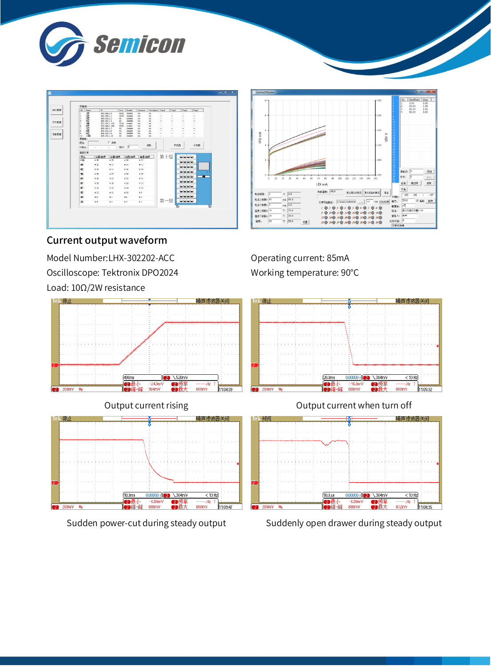



# Current output waveform

Model Number:LHX-302202-ACC Oscilloscope: Tektronix DPO2024 Load: 10Ω/2W resistance









Operating current: 85mA Working temperature: 90°C



## Output current rising Output current when turn off



#### Sudden power-cut during steady output Suddenly open drawer during steady output